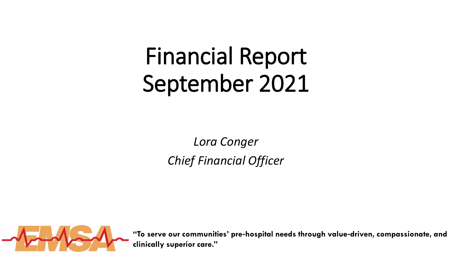# Financial Report September 2021

*Lora Conger Chief Financial Officer*



**"To serve our communities' pre**‐**hospital needs through value**‐**driven, compassionate, and clinically superior care."**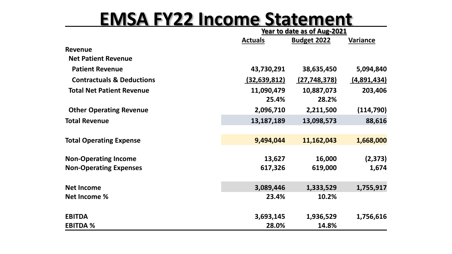#### **EMSA FY22 Income Statement**

|                                      | Year to date as of Aug-2021 |                    |                    |
|--------------------------------------|-----------------------------|--------------------|--------------------|
|                                      | <b>Actuals</b>              | <b>Budget 2022</b> | Variance           |
| <b>Revenue</b>                       |                             |                    |                    |
| <b>Net Patient Revenue</b>           |                             |                    |                    |
| <b>Patient Revenue</b>               | 43,730,291                  | 38,635,450         | 5,094,840          |
| <b>Contractuals &amp; Deductions</b> | (32, 639, 812)              | (27, 748, 378)     | <u>(4,891,434)</u> |
| <b>Total Net Patient Revenue</b>     | 11,090,479                  | 10,887,073         | 203,406            |
|                                      | 25.4%                       | 28.2%              |                    |
| <b>Other Operating Revenue</b>       | 2,096,710                   | 2,211,500          | (114, 790)         |
| <b>Total Revenue</b>                 | 13,187,189                  | 13,098,573         | 88,616             |
|                                      |                             |                    |                    |
| <b>Total Operating Expense</b>       | 9,494,044                   | 11,162,043         | 1,668,000          |
|                                      |                             |                    |                    |
| <b>Non-Operating Income</b>          | 13,627                      | 16,000             | (2, 373)           |
| <b>Non-Operating Expenses</b>        | 617,326                     | 619,000            | 1,674              |
|                                      |                             |                    |                    |
| <b>Net Income</b>                    | 3,089,446                   | 1,333,529          | 1,755,917          |
| <b>Net Income %</b>                  | 23.4%                       | 10.2%              |                    |
| <b>EBITDA</b>                        | 3,693,145                   | 1,936,529          | 1,756,616          |
| <b>EBITDA %</b>                      | 28.0%                       | 14.8%              |                    |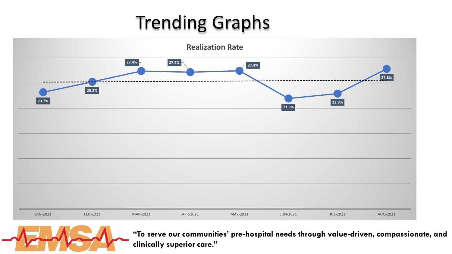## Trending Graphs





**"To serve our communities' pre**‐**hospital needs through value**‐**driven, compassionate, and clinically superior care."**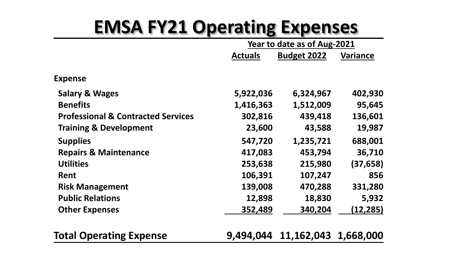#### **EMSA FY21 Operating Expenses**

| Year to date as of Aug-2021 |                    |                 |
|-----------------------------|--------------------|-----------------|
| <b>Actuals</b>              | <b>Budget 2022</b> | <b>Variance</b> |
|                             |                    |                 |
| 5,922,036                   | 6,324,967          | 402,930         |
| 1,416,363                   | 1,512,009          | 95,645          |
| 302,816                     | 439,418            | 136,601         |
| 23,600                      | 43,588             | 19,987          |
| 547,720                     | 1,235,721          | 688,001         |
| 417,083                     | 453,794            | 36,710          |
| 253,638                     | 215,980            | (37, 658)       |
| 106,391                     | 107,247            | 856             |
| 139,008                     | 470,288            | 331,280         |
| 12,898                      | 18,830             | 5,932           |
| 352,489                     | 340,204            | (12,285)        |
|                             |                    |                 |

**Total Operating Expense 9,494,044 11,162,043 1,668,000**